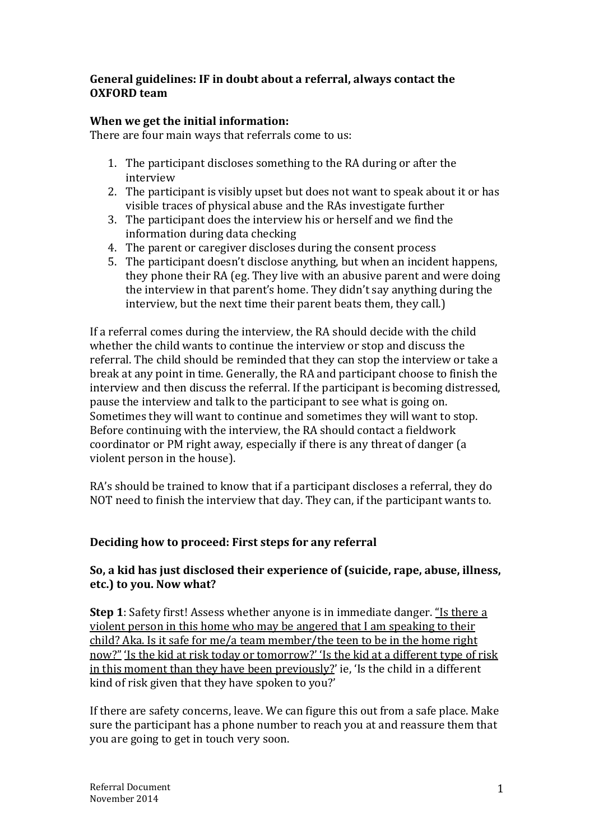# **General guidelines: IF in doubt about a referral, always contact the OXFORD team**

# **When we get the initial information:**

There are four main ways that referrals come to us:

- 1. The participant discloses something to the RA during or after the interview
- 2. The participant is visibly upset but does not want to speak about it or has visible traces of physical abuse and the RAs investigate further
- 3. The participant does the interview his or herself and we find the information during data checking
- 4. The parent or caregiver discloses during the consent process
- 5. The participant doesn't disclose anything, but when an incident happens, they phone their RA (eg. They live with an abusive parent and were doing the interview in that parent's home. They didn't say anything during the interview, but the next time their parent beats them, they call.)

If a referral comes during the interview, the RA should decide with the child whether the child wants to continue the interview or stop and discuss the referral. The child should be reminded that they can stop the interview or take a break at any point in time. Generally, the RA and participant choose to finish the interview and then discuss the referral. If the participant is becoming distressed, pause the interview and talk to the participant to see what is going on. Sometimes they will want to continue and sometimes they will want to stop. Before continuing with the interview, the RA should contact a fieldwork coordinator or PM right away, especially if there is any threat of danger (a violent person in the house).

RA's should be trained to know that if a participant discloses a referral, they do NOT need to finish the interview that day. They can, if the participant wants to.

# **Deciding how to proceed: First steps for any referral**

# **So, a kid has just disclosed their experience of (suicide, rape, abuse, illness, etc.) to you. Now what?**

**Step 1**: Safety first! Assess whether anyone is in immediate danger. "Is there a violent person in this home who may be angered that I am speaking to their child? Aka. Is it safe for me/a team member/the teen to be in the home right now?" 'Is the kid at risk today or tomorrow?' 'Is the kid at a different type of risk in this moment than they have been previously?' ie, 'Is the child in a different kind of risk given that they have spoken to you?'

If there are safety concerns, leave. We can figure this out from a safe place. Make sure the participant has a phone number to reach you at and reassure them that you are going to get in touch very soon.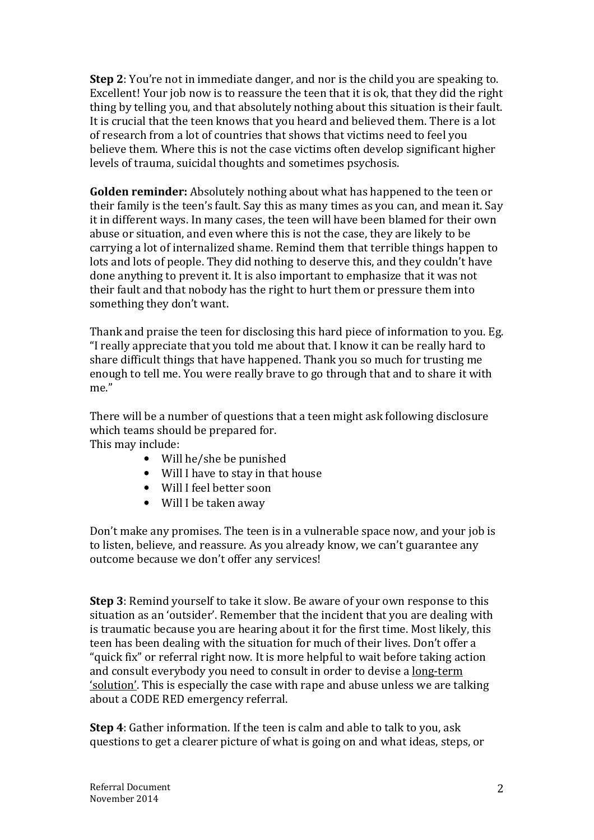**Step 2**: You're not in immediate danger, and nor is the child you are speaking to. Excellent! Your job now is to reassure the teen that it is ok, that they did the right thing by telling you, and that absolutely nothing about this situation is their fault. It is crucial that the teen knows that you heard and believed them. There is a lot of research from a lot of countries that shows that victims need to feel you believe them. Where this is not the case victims often develop significant higher levels of trauma, suicidal thoughts and sometimes psychosis.

**Golden reminder:** Absolutely nothing about what has happened to the teen or their family is the teen's fault. Say this as many times as you can, and mean it. Say it in different ways. In many cases, the teen will have been blamed for their own abuse or situation, and even where this is not the case, they are likely to be carrying a lot of internalized shame. Remind them that terrible things happen to lots and lots of people. They did nothing to deserve this, and they couldn't have done anything to prevent it. It is also important to emphasize that it was not their fault and that nobody has the right to hurt them or pressure them into something they don't want.

Thank and praise the teen for disclosing this hard piece of information to you. Eg. "I really appreciate that you told me about that. I know it can be really hard to share difficult things that have happened. Thank you so much for trusting me enough to tell me. You were really brave to go through that and to share it with me."

There will be a number of questions that a teen might ask following disclosure which teams should be prepared for. This may include:

- Will he/she be punished
- Will I have to stay in that house
- Will I feel better soon
- Will I be taken away

Don't make any promises. The teen is in a vulnerable space now, and your job is to listen, believe, and reassure. As you already know, we can't guarantee any outcome because we don't offer any services!

**Step 3**: Remind yourself to take it slow. Be aware of your own response to this situation as an 'outsider'. Remember that the incident that you are dealing with is traumatic because you are hearing about it for the first time. Most likely, this teen has been dealing with the situation for much of their lives. Don't offer a "quick fix" or referral right now. It is more helpful to wait before taking action and consult everybody you need to consult in order to devise a long-term 'solution'. This is especially the case with rape and abuse unless we are talking about a CODE RED emergency referral.

**Step 4**: Gather information. If the teen is calm and able to talk to you, ask questions to get a clearer picture of what is going on and what ideas, steps, or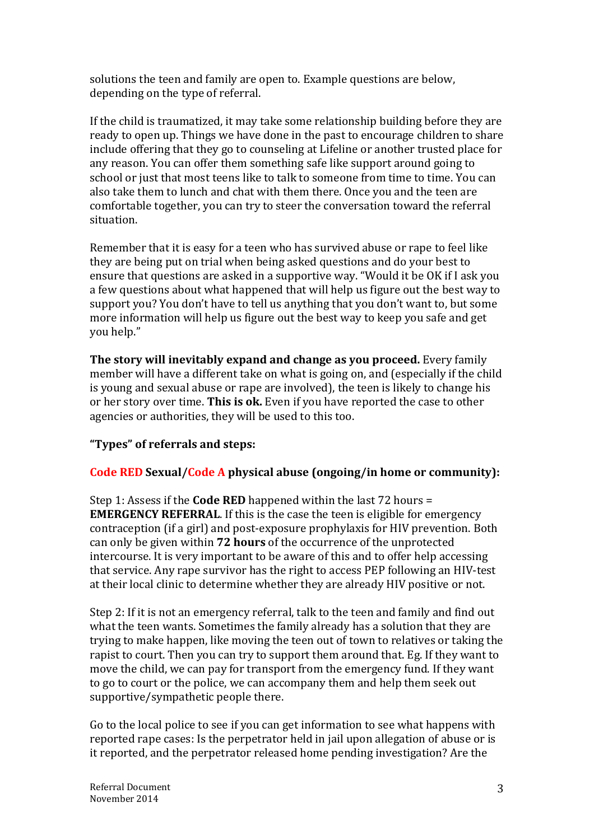solutions the teen and family are open to. Example questions are below, depending on the type of referral.

If the child is traumatized, it may take some relationship building before they are ready to open up. Things we have done in the past to encourage children to share include offering that they go to counseling at Lifeline or another trusted place for any reason. You can offer them something safe like support around going to school or just that most teens like to talk to someone from time to time. You can also take them to lunch and chat with them there. Once you and the teen are comfortable together, you can try to steer the conversation toward the referral situation.

Remember that it is easy for a teen who has survived abuse or rape to feel like they are being put on trial when being asked questions and do your best to ensure that questions are asked in a supportive way. "Would it be OK if I ask you a few questions about what happened that will help us figure out the best way to support you? You don't have to tell us anything that you don't want to, but some more information will help us figure out the best way to keep you safe and get you help."

**The story will inevitably expand and change as you proceed.** Every family member will have a different take on what is going on, and (especially if the child is young and sexual abuse or rape are involved), the teen is likely to change his or her story over time. **This is ok.** Even if you have reported the case to other agencies or authorities, they will be used to this too.

# **"Types" of referrals and steps:**

# **Code RED Sexual/Code A physical abuse (ongoing/in home or community):**

Step 1: Assess if the **Code RED** happened within the last 72 hours = **EMERGENCY REFERRAL**. If this is the case the teen is eligible for emergency contraception (if a girl) and post-exposure prophylaxis for HIV prevention. Both can only be given within **72 hours** of the occurrence of the unprotected intercourse. It is very important to be aware of this and to offer help accessing that service. Any rape survivor has the right to access PEP following an HIV-test at their local clinic to determine whether they are already HIV positive or not.

Step 2: If it is not an emergency referral, talk to the teen and family and find out what the teen wants. Sometimes the family already has a solution that they are trying to make happen, like moving the teen out of town to relatives or taking the rapist to court. Then you can try to support them around that. Eg. If they want to move the child, we can pay for transport from the emergency fund. If they want to go to court or the police, we can accompany them and help them seek out supportive/sympathetic people there.

Go to the local police to see if you can get information to see what happens with reported rape cases: Is the perpetrator held in jail upon allegation of abuse or is it reported, and the perpetrator released home pending investigation? Are the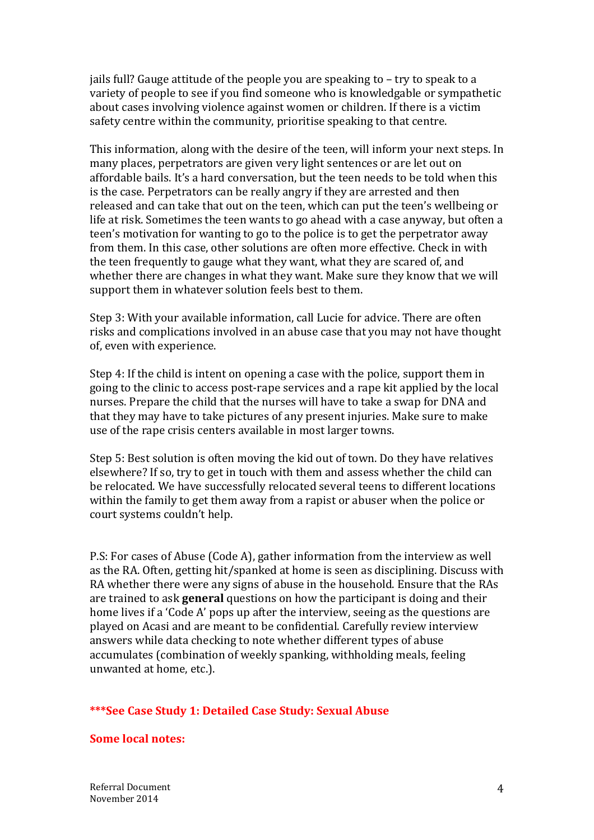jails full? Gauge attitude of the people you are speaking to – try to speak to a variety of people to see if you find someone who is knowledgable or sympathetic about cases involving violence against women or children. If there is a victim safety centre within the community, prioritise speaking to that centre.

This information, along with the desire of the teen, will inform your next steps. In many places, perpetrators are given very light sentences or are let out on affordable bails. It's a hard conversation, but the teen needs to be told when this is the case. Perpetrators can be really angry if they are arrested and then released and can take that out on the teen, which can put the teen's wellbeing or life at risk. Sometimes the teen wants to go ahead with a case anyway, but often a teen's motivation for wanting to go to the police is to get the perpetrator away from them. In this case, other solutions are often more effective. Check in with the teen frequently to gauge what they want, what they are scared of, and whether there are changes in what they want. Make sure they know that we will support them in whatever solution feels best to them.

Step 3: With your available information, call Lucie for advice. There are often risks and complications involved in an abuse case that you may not have thought of, even with experience.

Step 4: If the child is intent on opening a case with the police, support them in going to the clinic to access post-rape services and a rape kit applied by the local nurses. Prepare the child that the nurses will have to take a swap for DNA and that they may have to take pictures of any present injuries. Make sure to make use of the rape crisis centers available in most larger towns.

Step 5: Best solution is often moving the kid out of town. Do they have relatives elsewhere? If so, try to get in touch with them and assess whether the child can be relocated. We have successfully relocated several teens to different locations within the family to get them away from a rapist or abuser when the police or court systems couldn't help.

P.S: For cases of Abuse (Code A), gather information from the interview as well as the RA. Often, getting hit/spanked at home is seen as disciplining. Discuss with RA whether there were any signs of abuse in the household. Ensure that the RAs are trained to ask **general** questions on how the participant is doing and their home lives if a 'Code A' pops up after the interview, seeing as the questions are played on Acasi and are meant to be confidential. Carefully review interview answers while data checking to note whether different types of abuse accumulates (combination of weekly spanking, withholding meals, feeling unwanted at home, etc.).

### **\*\*\*See Case Study 1: Detailed Case Study: Sexual Abuse**

### **Some local notes:**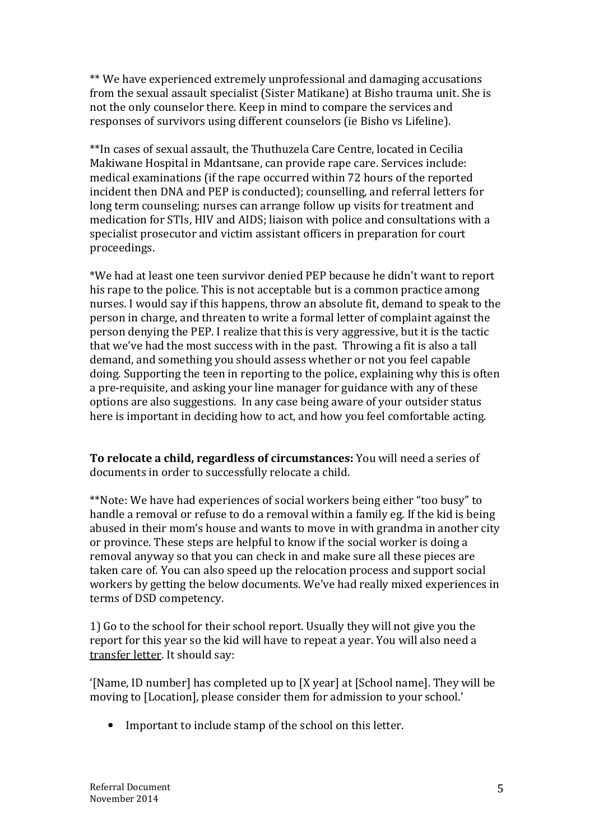\*\* We have experienced extremely unprofessional and damaging accusations from the sexual assault specialist (Sister Matikane) at Bisho trauma unit. She is not the only counselor there. Keep in mind to compare the services and responses of survivors using different counselors (ie Bisho vs Lifeline).

\*\*In cases of sexual assault, the Thuthuzela Care Centre, located in Cecilia Makiwane Hospital in Mdantsane, can provide rape care. Services include: medical examinations (if the rape occurred within 72 hours of the reported incident then DNA and PEP is conducted); counselling, and referral letters for long term counseling; nurses can arrange follow up visits for treatment and medication for STIs, HIV and AIDS; liaison with police and consultations with a specialist prosecutor and victim assistant officers in preparation for court proceedings.

\*We had at least one teen survivor denied PEP because he didn't want to report his rape to the police. This is not acceptable but is a common practice among nurses. I would say if this happens, throw an absolute fit, demand to speak to the person in charge, and threaten to write a formal letter of complaint against the person denying the PEP. I realize that this is very aggressive, but it is the tactic that we've had the most success with in the past. Throwing a fit is also a tall demand, and something you should assess whether or not you feel capable doing. Supporting the teen in reporting to the police, explaining why this is often a pre-requisite, and asking your line manager for guidance with any of these options are also suggestions. In any case being aware of your outsider status here is important in deciding how to act, and how you feel comfortable acting.

**To relocate a child, regardless of circumstances:** You will need a series of documents in order to successfully relocate a child.

\*\*Note: We have had experiences of social workers being either "too busy" to handle a removal or refuse to do a removal within a family eg. If the kid is being abused in their mom's house and wants to move in with grandma in another city or province. These steps are helpful to know if the social worker is doing a removal anyway so that you can check in and make sure all these pieces are taken care of. You can also speed up the relocation process and support social workers by getting the below documents. We've had really mixed experiences in terms of DSD competency.

1) Go to the school for their school report. Usually they will not give you the report for this year so the kid will have to repeat a year. You will also need a transfer letter. It should say:

'[Name, ID number] has completed up to [X year] at [School name]. They will be moving to [Location], please consider them for admission to your school.'

• Important to include stamp of the school on this letter.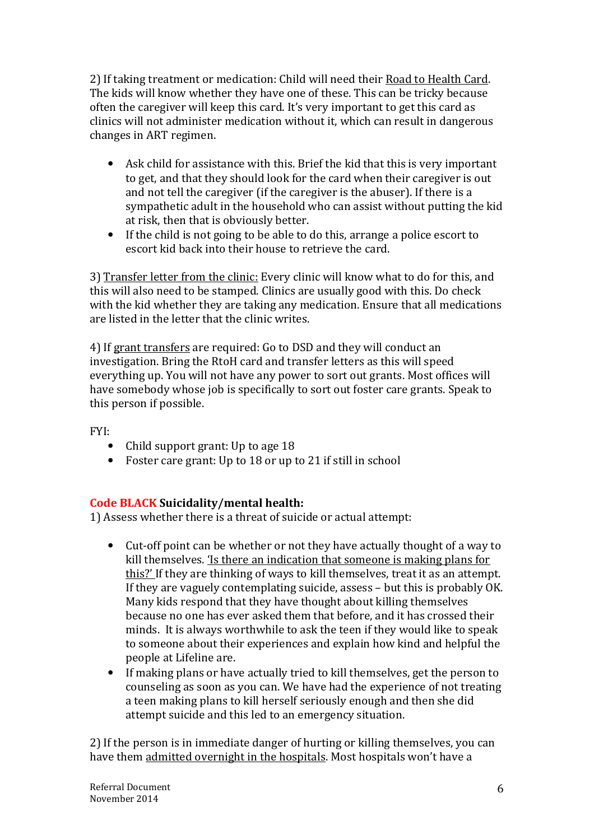2) If taking treatment or medication: Child will need their Road to Health Card. The kids will know whether they have one of these. This can be tricky because often the caregiver will keep this card. It's very important to get this card as clinics will not administer medication without it, which can result in dangerous changes in ART regimen.

- Ask child for assistance with this. Brief the kid that this is very important to get, and that they should look for the card when their caregiver is out and not tell the caregiver (if the caregiver is the abuser). If there is a sympathetic adult in the household who can assist without putting the kid at risk, then that is obviously better.
- If the child is not going to be able to do this, arrange a police escort to escort kid back into their house to retrieve the card.

3) Transfer letter from the clinic: Every clinic will know what to do for this, and this will also need to be stamped. Clinics are usually good with this. Do check with the kid whether they are taking any medication. Ensure that all medications are listed in the letter that the clinic writes.

4) If grant transfers are required: Go to DSD and they will conduct an investigation. Bring the RtoH card and transfer letters as this will speed everything up. You will not have any power to sort out grants. Most offices will have somebody whose job is specifically to sort out foster care grants. Speak to this person if possible.

FYI:

- Child support grant: Up to age 18
- Foster care grant: Up to 18 or up to 21 if still in school

# **Code BLACK Suicidality/mental health:**

1) Assess whether there is a threat of suicide or actual attempt:

- Cut-off point can be whether or not they have actually thought of a way to kill themselves. 'Is there an indication that someone is making plans for this?' If they are thinking of ways to kill themselves, treat it as an attempt. If they are vaguely contemplating suicide, assess – but this is probably OK. Many kids respond that they have thought about killing themselves because no one has ever asked them that before, and it has crossed their minds. It is always worthwhile to ask the teen if they would like to speak to someone about their experiences and explain how kind and helpful the people at Lifeline are.
- If making plans or have actually tried to kill themselves, get the person to counseling as soon as you can. We have had the experience of not treating a teen making plans to kill herself seriously enough and then she did attempt suicide and this led to an emergency situation.

2) If the person is in immediate danger of hurting or killing themselves, you can have them admitted overnight in the hospitals. Most hospitals won't have a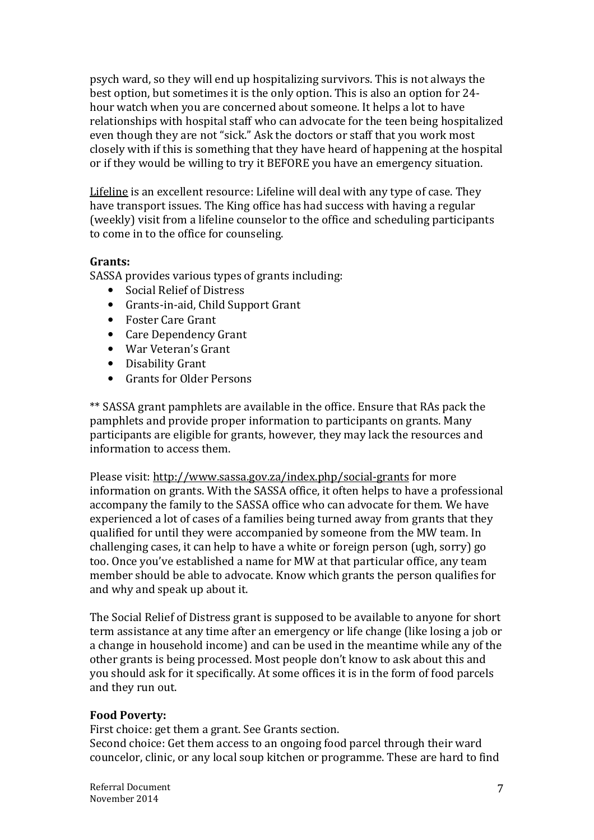psych ward, so they will end up hospitalizing survivors. This is not always the best option, but sometimes it is the only option. This is also an option for 24 hour watch when you are concerned about someone. It helps a lot to have relationships with hospital staff who can advocate for the teen being hospitalized even though they are not "sick." Ask the doctors or staff that you work most closely with if this is something that they have heard of happening at the hospital or if they would be willing to try it BEFORE you have an emergency situation.

Lifeline is an excellent resource: Lifeline will deal with any type of case. They have transport issues. The King office has had success with having a regular (weekly) visit from a lifeline counselor to the office and scheduling participants to come in to the office for counseling.

# **Grants:**

SASSA provides various types of grants including:

- Social Relief of Distress
- Grants-in-aid, Child Support Grant
- Foster Care Grant
- Care Dependency Grant
- War Veteran's Grant
- Disability Grant
- Grants for Older Persons

\*\* SASSA grant pamphlets are available in the office. Ensure that RAs pack the pamphlets and provide proper information to participants on grants. Many participants are eligible for grants, however, they may lack the resources and information to access them.

Please visit: http://www.sassa.gov.za/index.php/social-grants for more information on grants. With the SASSA office, it often helps to have a professional accompany the family to the SASSA office who can advocate for them. We have experienced a lot of cases of a families being turned away from grants that they qualified for until they were accompanied by someone from the MW team. In challenging cases, it can help to have a white or foreign person (ugh, sorry) go too. Once you've established a name for MW at that particular office, any team member should be able to advocate. Know which grants the person qualifies for and why and speak up about it.

The Social Relief of Distress grant is supposed to be available to anyone for short term assistance at any time after an emergency or life change (like losing a job or a change in household income) and can be used in the meantime while any of the other grants is being processed. Most people don't know to ask about this and you should ask for it specifically. At some offices it is in the form of food parcels and they run out.

### **Food Poverty:**

First choice: get them a grant. See Grants section.

Second choice: Get them access to an ongoing food parcel through their ward councelor, clinic, or any local soup kitchen or programme. These are hard to find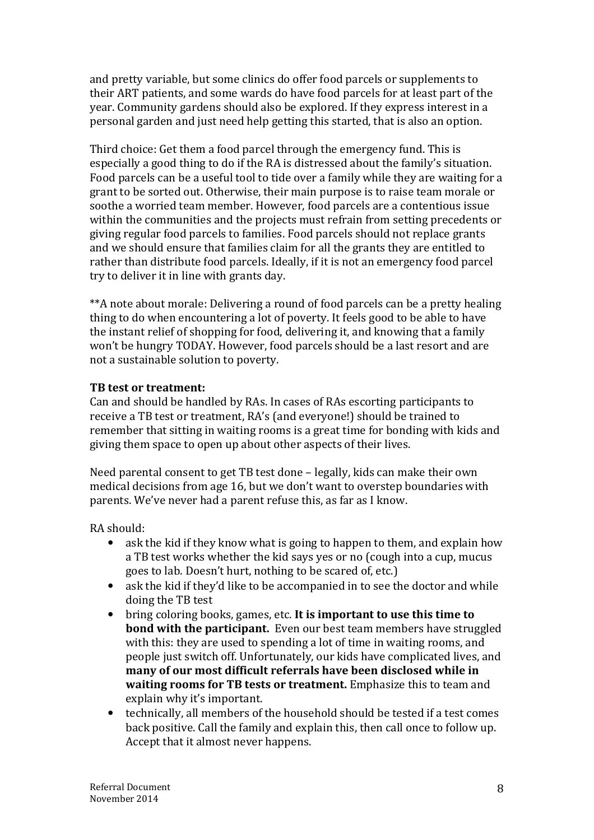and pretty variable, but some clinics do offer food parcels or supplements to their ART patients, and some wards do have food parcels for at least part of the year. Community gardens should also be explored. If they express interest in a personal garden and just need help getting this started, that is also an option.

Third choice: Get them a food parcel through the emergency fund. This is especially a good thing to do if the RA is distressed about the family's situation. Food parcels can be a useful tool to tide over a family while they are waiting for a grant to be sorted out. Otherwise, their main purpose is to raise team morale or soothe a worried team member. However, food parcels are a contentious issue within the communities and the projects must refrain from setting precedents or giving regular food parcels to families. Food parcels should not replace grants and we should ensure that families claim for all the grants they are entitled to rather than distribute food parcels. Ideally, if it is not an emergency food parcel try to deliver it in line with grants day.

\*\*A note about morale: Delivering a round of food parcels can be a pretty healing thing to do when encountering a lot of poverty. It feels good to be able to have the instant relief of shopping for food, delivering it, and knowing that a family won't be hungry TODAY. However, food parcels should be a last resort and are not a sustainable solution to poverty.

# **TB test or treatment:**

Can and should be handled by RAs. In cases of RAs escorting participants to receive a TB test or treatment, RA's (and everyone!) should be trained to remember that sitting in waiting rooms is a great time for bonding with kids and giving them space to open up about other aspects of their lives.

Need parental consent to get TB test done – legally, kids can make their own medical decisions from age 16, but we don't want to overstep boundaries with parents. We've never had a parent refuse this, as far as I know.

RA should:

- ask the kid if they know what is going to happen to them, and explain how a TB test works whether the kid says yes or no (cough into a cup, mucus goes to lab. Doesn't hurt, nothing to be scared of, etc.)
- ask the kid if they'd like to be accompanied in to see the doctor and while doing the TB test
- bring coloring books, games, etc. **It is important to use this time to bond with the participant.** Even our best team members have struggled with this: they are used to spending a lot of time in waiting rooms, and people just switch off. Unfortunately, our kids have complicated lives, and **many of our most difficult referrals have been disclosed while in waiting rooms for TB tests or treatment.** Emphasize this to team and explain why it's important.
- technically, all members of the household should be tested if a test comes back positive. Call the family and explain this, then call once to follow up. Accept that it almost never happens.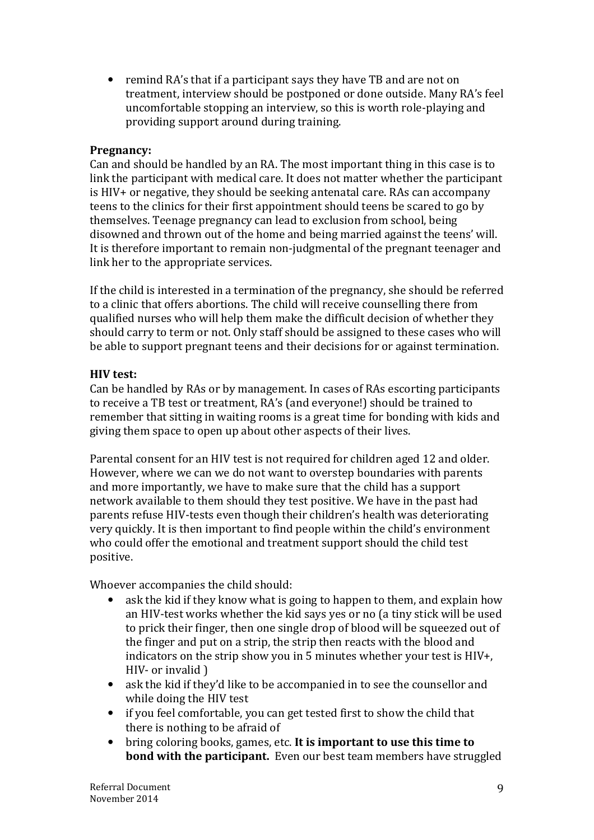• remind RA's that if a participant says they have TB and are not on treatment, interview should be postponed or done outside. Many RA's feel uncomfortable stopping an interview, so this is worth role-playing and providing support around during training.

### **Pregnancy:**

Can and should be handled by an RA. The most important thing in this case is to link the participant with medical care. It does not matter whether the participant is HIV+ or negative, they should be seeking antenatal care. RAs can accompany teens to the clinics for their first appointment should teens be scared to go by themselves. Teenage pregnancy can lead to exclusion from school, being disowned and thrown out of the home and being married against the teens' will. It is therefore important to remain non-judgmental of the pregnant teenager and link her to the appropriate services.

If the child is interested in a termination of the pregnancy, she should be referred to a clinic that offers abortions. The child will receive counselling there from qualified nurses who will help them make the difficult decision of whether they should carry to term or not. Only staff should be assigned to these cases who will be able to support pregnant teens and their decisions for or against termination.

# **HIV test:**

Can be handled by RAs or by management. In cases of RAs escorting participants to receive a TB test or treatment, RA's (and everyone!) should be trained to remember that sitting in waiting rooms is a great time for bonding with kids and giving them space to open up about other aspects of their lives.

Parental consent for an HIV test is not required for children aged 12 and older. However, where we can we do not want to overstep boundaries with parents and more importantly, we have to make sure that the child has a support network available to them should they test positive. We have in the past had parents refuse HIV-tests even though their children's health was deteriorating very quickly. It is then important to find people within the child's environment who could offer the emotional and treatment support should the child test positive.

Whoever accompanies the child should:

- ask the kid if they know what is going to happen to them, and explain how an HIV-test works whether the kid says yes or no (a tiny stick will be used to prick their finger, then one single drop of blood will be squeezed out of the finger and put on a strip, the strip then reacts with the blood and indicators on the strip show you in 5 minutes whether your test is HIV+, HIV- or invalid )
- ask the kid if they'd like to be accompanied in to see the counsellor and while doing the HIV test
- if you feel comfortable, you can get tested first to show the child that there is nothing to be afraid of
- bring coloring books, games, etc. **It is important to use this time to bond with the participant.** Even our best team members have struggled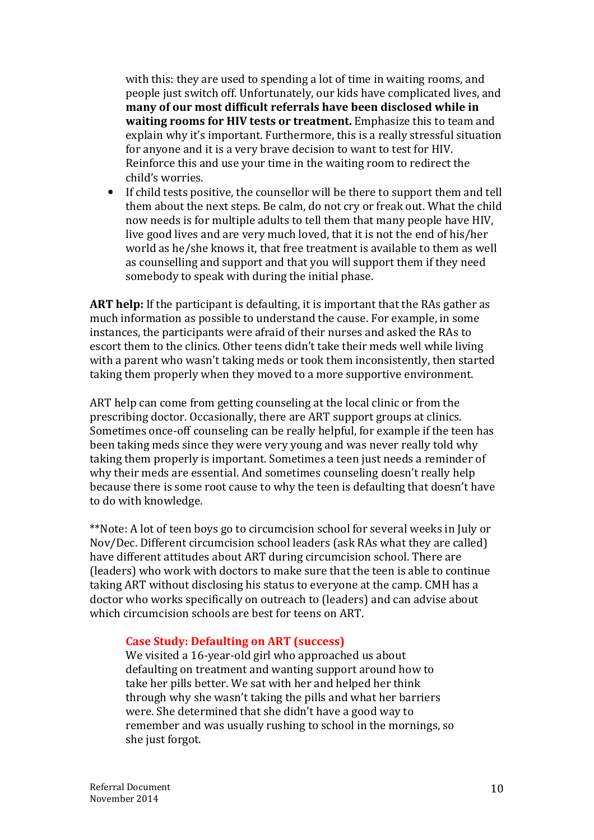with this: they are used to spending a lot of time in waiting rooms, and people just switch off. Unfortunately, our kids have complicated lives, and **many of our most difficult referrals have been disclosed while in waiting rooms for HIV tests or treatment.** Emphasize this to team and explain why it's important. Furthermore, this is a really stressful situation for anyone and it is a very brave decision to want to test for HIV. Reinforce this and use your time in the waiting room to redirect the child's worries.

• If child tests positive, the counsellor will be there to support them and tell them about the next steps. Be calm, do not cry or freak out. What the child now needs is for multiple adults to tell them that many people have HIV, live good lives and are very much loved, that it is not the end of his/her world as he/she knows it, that free treatment is available to them as well as counselling and support and that you will support them if they need somebody to speak with during the initial phase.

**ART help:** If the participant is defaulting, it is important that the RAs gather as much information as possible to understand the cause. For example, in some instances, the participants were afraid of their nurses and asked the RAs to escort them to the clinics. Other teens didn't take their meds well while living with a parent who wasn't taking meds or took them inconsistently, then started taking them properly when they moved to a more supportive environment.

ART help can come from getting counseling at the local clinic or from the prescribing doctor. Occasionally, there are ART support groups at clinics. Sometimes once-off counseling can be really helpful, for example if the teen has been taking meds since they were very young and was never really told why taking them properly is important. Sometimes a teen just needs a reminder of why their meds are essential. And sometimes counseling doesn't really help because there is some root cause to why the teen is defaulting that doesn't have to do with knowledge.

\*\*Note: A lot of teen boys go to circumcision school for several weeks in July or Nov/Dec. Different circumcision school leaders (ask RAs what they are called) have different attitudes about ART during circumcision school. There are (leaders) who work with doctors to make sure that the teen is able to continue taking ART without disclosing his status to everyone at the camp. CMH has a doctor who works specifically on outreach to (leaders) and can advise about which circumcision schools are best for teens on ART.

### **Case Study: Defaulting on ART (success)**

We visited a 16-year-old girl who approached us about defaulting on treatment and wanting support around how to take her pills better. We sat with her and helped her think through why she wasn't taking the pills and what her barriers were. She determined that she didn't have a good way to remember and was usually rushing to school in the mornings, so she just forgot.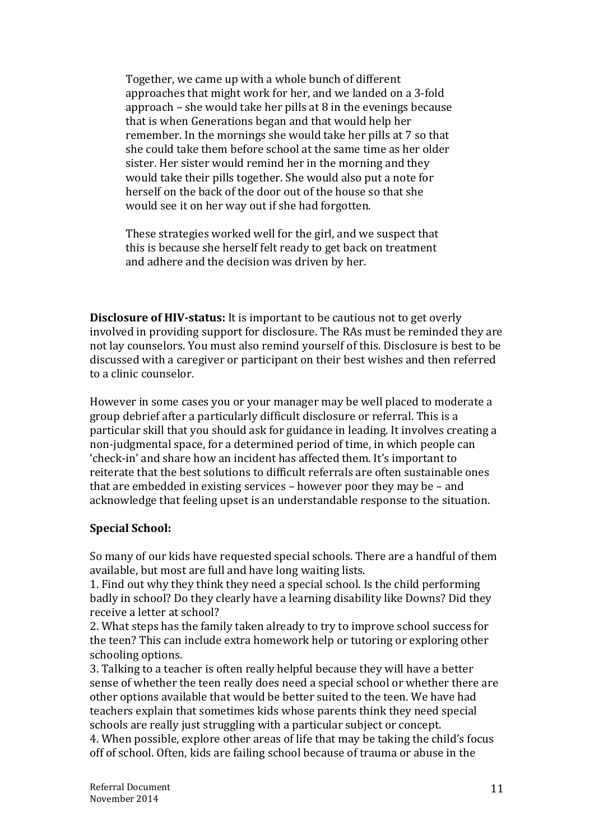Together, we came up with a whole bunch of different approaches that might work for her, and we landed on a 3-fold approach – she would take her pills at 8 in the evenings because that is when Generations began and that would help her remember. In the mornings she would take her pills at 7 so that she could take them before school at the same time as her older sister. Her sister would remind her in the morning and they would take their pills together. She would also put a note for herself on the back of the door out of the house so that she would see it on her way out if she had forgotten.

These strategies worked well for the girl, and we suspect that this is because she herself felt ready to get back on treatment and adhere and the decision was driven by her.

**Disclosure of HIV-status:** It is important to be cautious not to get overly involved in providing support for disclosure. The RAs must be reminded they are not lay counselors. You must also remind yourself of this. Disclosure is best to be discussed with a caregiver or participant on their best wishes and then referred to a clinic counselor.

However in some cases you or your manager may be well placed to moderate a group debrief after a particularly difficult disclosure or referral. This is a particular skill that you should ask for guidance in leading. It involves creating a non-judgmental space, for a determined period of time, in which people can 'check-in' and share how an incident has affected them. It's important to reiterate that the best solutions to difficult referrals are often sustainable ones that are embedded in existing services – however poor they may be – and acknowledge that feeling upset is an understandable response to the situation.

### **Special School:**

So many of our kids have requested special schools. There are a handful of them available, but most are full and have long waiting lists.

1. Find out why they think they need a special school. Is the child performing badly in school? Do they clearly have a learning disability like Downs? Did they receive a letter at school?

2. What steps has the family taken already to try to improve school success for the teen? This can include extra homework help or tutoring or exploring other schooling options.

3. Talking to a teacher is often really helpful because they will have a better sense of whether the teen really does need a special school or whether there are other options available that would be better suited to the teen. We have had teachers explain that sometimes kids whose parents think they need special schools are really just struggling with a particular subject or concept.

4. When possible, explore other areas of life that may be taking the child's focus off of school. Often, kids are failing school because of trauma or abuse in the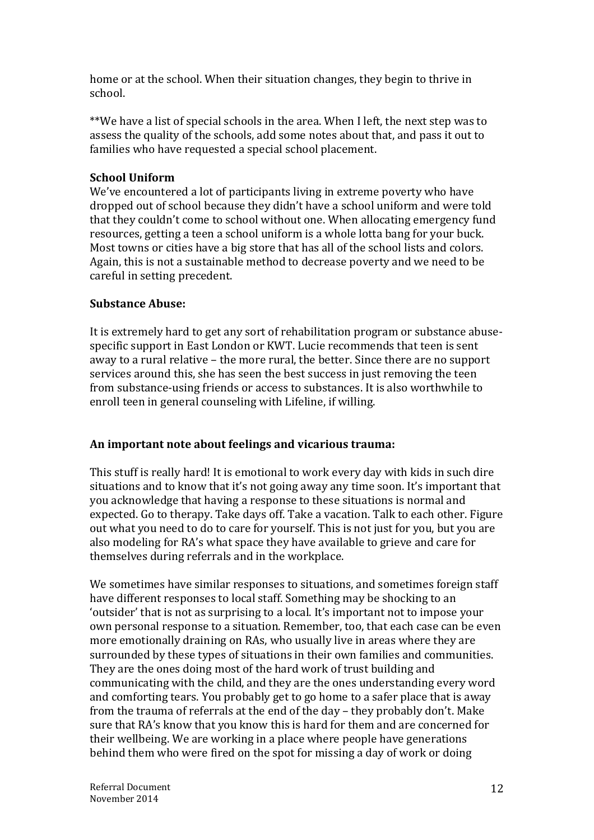home or at the school. When their situation changes, they begin to thrive in school.

\*\*We have a list of special schools in the area. When I left, the next step was to assess the quality of the schools, add some notes about that, and pass it out to families who have requested a special school placement.

### **School Uniform**

We've encountered a lot of participants living in extreme poverty who have dropped out of school because they didn't have a school uniform and were told that they couldn't come to school without one. When allocating emergency fund resources, getting a teen a school uniform is a whole lotta bang for your buck. Most towns or cities have a big store that has all of the school lists and colors. Again, this is not a sustainable method to decrease poverty and we need to be careful in setting precedent.

# **Substance Abuse:**

It is extremely hard to get any sort of rehabilitation program or substance abusespecific support in East London or KWT. Lucie recommends that teen is sent away to a rural relative – the more rural, the better. Since there are no support services around this, she has seen the best success in just removing the teen from substance-using friends or access to substances. It is also worthwhile to enroll teen in general counseling with Lifeline, if willing.

# **An important note about feelings and vicarious trauma:**

This stuff is really hard! It is emotional to work every day with kids in such dire situations and to know that it's not going away any time soon. It's important that you acknowledge that having a response to these situations is normal and expected. Go to therapy. Take days off. Take a vacation. Talk to each other. Figure out what you need to do to care for yourself. This is not just for you, but you are also modeling for RA's what space they have available to grieve and care for themselves during referrals and in the workplace.

We sometimes have similar responses to situations, and sometimes foreign staff have different responses to local staff. Something may be shocking to an 'outsider' that is not as surprising to a local. It's important not to impose your own personal response to a situation. Remember, too, that each case can be even more emotionally draining on RAs, who usually live in areas where they are surrounded by these types of situations in their own families and communities. They are the ones doing most of the hard work of trust building and communicating with the child, and they are the ones understanding every word and comforting tears. You probably get to go home to a safer place that is away from the trauma of referrals at the end of the day – they probably don't. Make sure that RA's know that you know this is hard for them and are concerned for their wellbeing. We are working in a place where people have generations behind them who were fired on the spot for missing a day of work or doing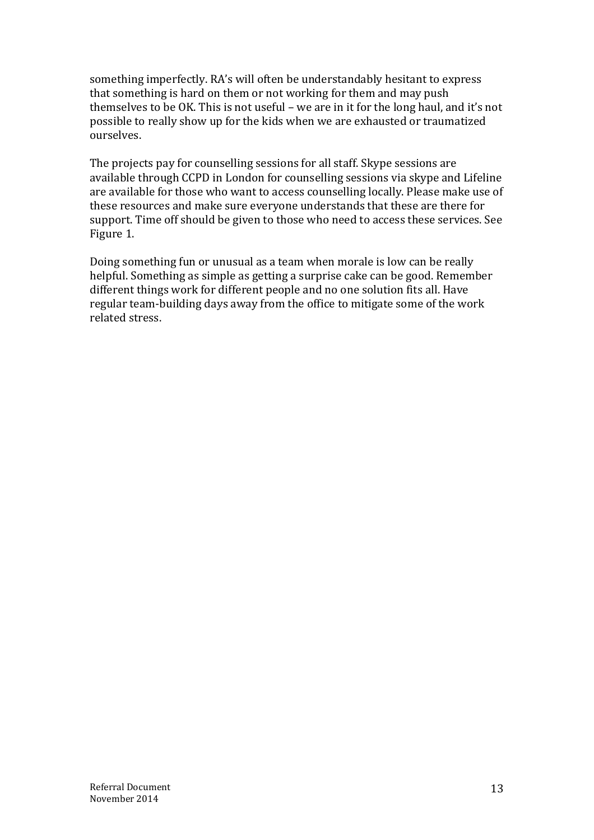something imperfectly. RA's will often be understandably hesitant to express that something is hard on them or not working for them and may push themselves to be OK. This is not useful – we are in it for the long haul, and it's not possible to really show up for the kids when we are exhausted or traumatized ourselves.

The projects pay for counselling sessions for all staff. Skype sessions are available through CCPD in London for counselling sessions via skype and Lifeline are available for those who want to access counselling locally. Please make use of these resources and make sure everyone understands that these are there for support. Time off should be given to those who need to access these services. See Figure 1.

Doing something fun or unusual as a team when morale is low can be really helpful. Something as simple as getting a surprise cake can be good. Remember different things work for different people and no one solution fits all. Have regular team-building days away from the office to mitigate some of the work related stress.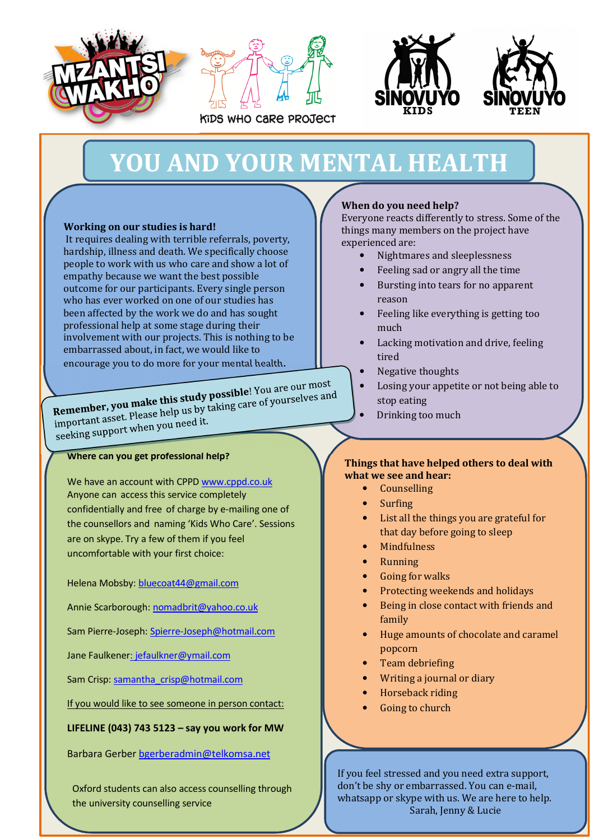







# **YOU AND YOUR MENTAL HEALTH**

### **Working on our studies is hard!**

 It requires dealing with terrible referrals, poverty, hardship, illness and death. We specifically choose people to work with us who care and show a lot of empathy because we want the best possible outcome for our participants. Every single person who has ever worked on one of our studies has been affected by the work we do and has sought professional help at some stage during their involvement with our projects. This is nothing to be embarrassed about, in fact, we would like to encourage you to do more for your mental health.

Remember, you make this study possible! You are our most

Remember, you make this study possible! You are our most<br>important asset. Please help us by taking care of yourselves and<br>important asset. Please help us by taking care of yourselves and important asset. Please help do it.<br>seeking support when you need it.

### **Where can you get professional help?**

We have an account with CPPD www.cppd.co.uk Anyone can access this service completely confidentially and free of charge by e-mailing one of the counsellors and naming 'Kids Who Care'. Sessions are on skype. Try a few of them if you feel uncomfortable with your first choice:

Helena Mobsby: bluecoat44@gmail.com

Annie Scarborough: nomadbrit@yahoo.co.uk

Sam Pierre-Joseph: Spierre-Joseph@hotmail.com

Jane Faulkener: jefaulkner@ymail.com

Sam Crisp: samantha\_crisp@hotmail.com

If you would like to see someone in person contact:

**LIFELINE (043) 743 5123 – say you work for MW** 

Barbara Gerber bgerberadmin@telkomsa.net

Oxford students can also access counselling through the university counselling service

### **When do you need help?**

Everyone reacts differently to stress. Some of the things many members on the project have experienced are:

- Nightmares and sleeplessness
- Feeling sad or angry all the time
- Bursting into tears for no apparent reason
- Feeling like everything is getting too much
- Lacking motivation and drive, feeling tired
- Negative thoughts
- Losing your appetite or not being able to stop eating
- Drinking too much

### **Things that have helped others to deal with what we see and hear:**

- **Counselling**
- Surfing
- List all the things you are grateful for that day before going to sleep
- **Mindfulness**
- Running
- Going for walks
- Protecting weekends and holidays
- Being in close contact with friends and family
- Huge amounts of chocolate and caramel popcorn
- Team debriefing
- Writing a journal or diary
- Horseback riding
- Going to church

14 don't be shy or embarrassed. You can e-mail, If you feel stressed and you need extra support, whatsapp or skype with us. We are here to help. Sarah, Jenny & Lucie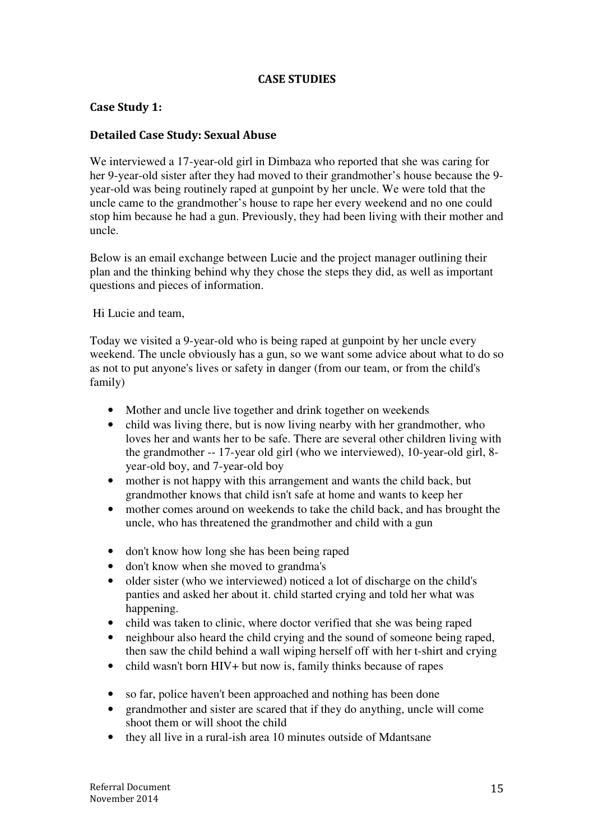# **CASE STUDIES**

### **Case Study 1:**

### **Detailed Case Study: Sexual Abuse**

We interviewed a 17-year-old girl in Dimbaza who reported that she was caring for her 9-year-old sister after they had moved to their grandmother's house because the 9 year-old was being routinely raped at gunpoint by her uncle. We were told that the uncle came to the grandmother's house to rape her every weekend and no one could stop him because he had a gun. Previously, they had been living with their mother and uncle.

Below is an email exchange between Lucie and the project manager outlining their plan and the thinking behind why they chose the steps they did, as well as important questions and pieces of information.

Hi Lucie and team,

Today we visited a 9-year-old who is being raped at gunpoint by her uncle every weekend. The uncle obviously has a gun, so we want some advice about what to do so as not to put anyone's lives or safety in danger (from our team, or from the child's family)

- Mother and uncle live together and drink together on weekends
- child was living there, but is now living nearby with her grandmother, who loves her and wants her to be safe. There are several other children living with the grandmother -- 17-year old girl (who we interviewed), 10-year-old girl, 8 year-old boy, and 7-year-old boy
- mother is not happy with this arrangement and wants the child back, but grandmother knows that child isn't safe at home and wants to keep her
- mother comes around on weekends to take the child back, and has brought the uncle, who has threatened the grandmother and child with a gun
- don't know how long she has been being raped
- don't know when she moved to grandma's
- older sister (who we interviewed) noticed a lot of discharge on the child's panties and asked her about it. child started crying and told her what was happening.
- child was taken to clinic, where doctor verified that she was being raped
- neighbour also heard the child crying and the sound of someone being raped, then saw the child behind a wall wiping herself off with her t-shirt and crying
- child wasn't born HIV+ but now is, family thinks because of rapes
- so far, police haven't been approached and nothing has been done
- grandmother and sister are scared that if they do anything, uncle will come shoot them or will shoot the child
- they all live in a rural-ish area 10 minutes outside of Mdantsane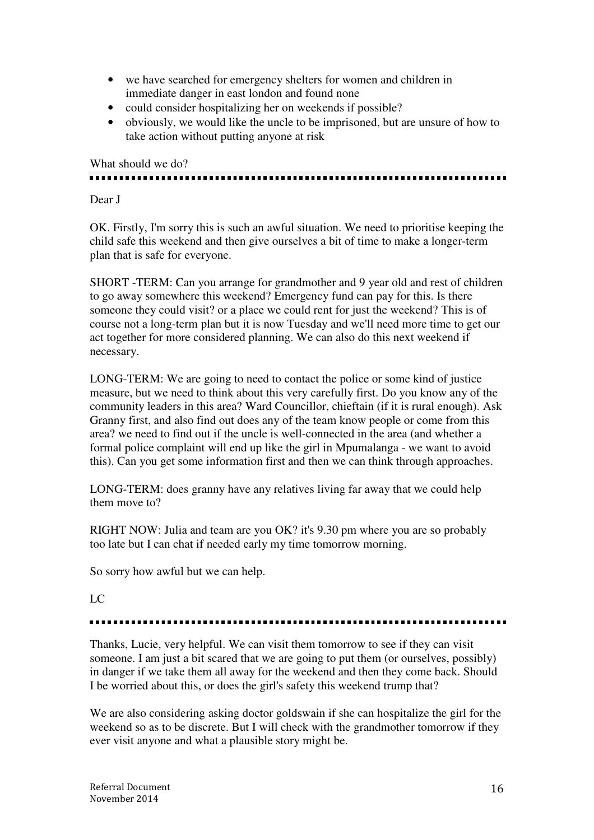- we have searched for emergency shelters for women and children in immediate danger in east london and found none
- could consider hospitalizing her on weekends if possible?
- obviously, we would like the uncle to be imprisoned, but are unsure of how to take action without putting anyone at risk

What should we do?

Dear J

OK. Firstly, I'm sorry this is such an awful situation. We need to prioritise keeping the child safe this weekend and then give ourselves a bit of time to make a longer-term plan that is safe for everyone.

SHORT -TERM: Can you arrange for grandmother and 9 year old and rest of children to go away somewhere this weekend? Emergency fund can pay for this. Is there someone they could visit? or a place we could rent for just the weekend? This is of course not a long-term plan but it is now Tuesday and we'll need more time to get our act together for more considered planning. We can also do this next weekend if necessary.

LONG-TERM: We are going to need to contact the police or some kind of justice measure, but we need to think about this very carefully first. Do you know any of the community leaders in this area? Ward Councillor, chieftain (if it is rural enough). Ask Granny first, and also find out does any of the team know people or come from this area? we need to find out if the uncle is well-connected in the area (and whether a formal police complaint will end up like the girl in Mpumalanga - we want to avoid this). Can you get some information first and then we can think through approaches.

LONG-TERM: does granny have any relatives living far away that we could help them move to?

RIGHT NOW: Julia and team are you OK? it's 9.30 pm where you are so probably too late but I can chat if needed early my time tomorrow morning.

So sorry how awful but we can help.

### LC

Thanks, Lucie, very helpful. We can visit them tomorrow to see if they can visit someone. I am just a bit scared that we are going to put them (or ourselves, possibly) in danger if we take them all away for the weekend and then they come back. Should I be worried about this, or does the girl's safety this weekend trump that?

We are also considering asking doctor goldswain if she can hospitalize the girl for the weekend so as to be discrete. But I will check with the grandmother tomorrow if they ever visit anyone and what a plausible story might be.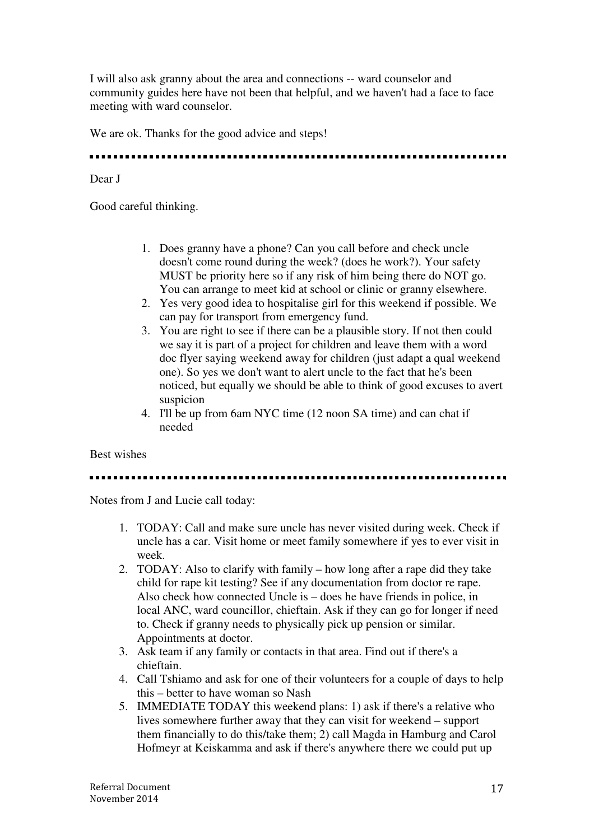I will also ask granny about the area and connections -- ward counselor and community guides here have not been that helpful, and we haven't had a face to face meeting with ward counselor.

We are ok. Thanks for the good advice and steps!

### Dear J

Good careful thinking.

- 1. Does granny have a phone? Can you call before and check uncle doesn't come round during the week? (does he work?). Your safety MUST be priority here so if any risk of him being there do NOT go. You can arrange to meet kid at school or clinic or granny elsewhere.
- 2. Yes very good idea to hospitalise girl for this weekend if possible. We can pay for transport from emergency fund.
- 3. You are right to see if there can be a plausible story. If not then could we say it is part of a project for children and leave them with a word doc flyer saying weekend away for children (just adapt a qual weekend one). So yes we don't want to alert uncle to the fact that he's been noticed, but equally we should be able to think of good excuses to avert suspicion
- 4. I'll be up from 6am NYC time (12 noon SA time) and can chat if needed

Best wishes

Notes from J and Lucie call today:

- 1. TODAY: Call and make sure uncle has never visited during week. Check if uncle has a car. Visit home or meet family somewhere if yes to ever visit in week.
- 2. TODAY: Also to clarify with family how long after a rape did they take child for rape kit testing? See if any documentation from doctor re rape. Also check how connected Uncle is – does he have friends in police, in local ANC, ward councillor, chieftain. Ask if they can go for longer if need to. Check if granny needs to physically pick up pension or similar. Appointments at doctor.
- 3. Ask team if any family or contacts in that area. Find out if there's a chieftain.
- 4. Call Tshiamo and ask for one of their volunteers for a couple of days to help this – better to have woman so Nash
- 5. IMMEDIATE TODAY this weekend plans: 1) ask if there's a relative who lives somewhere further away that they can visit for weekend – support them financially to do this/take them; 2) call Magda in Hamburg and Carol Hofmeyr at Keiskamma and ask if there's anywhere there we could put up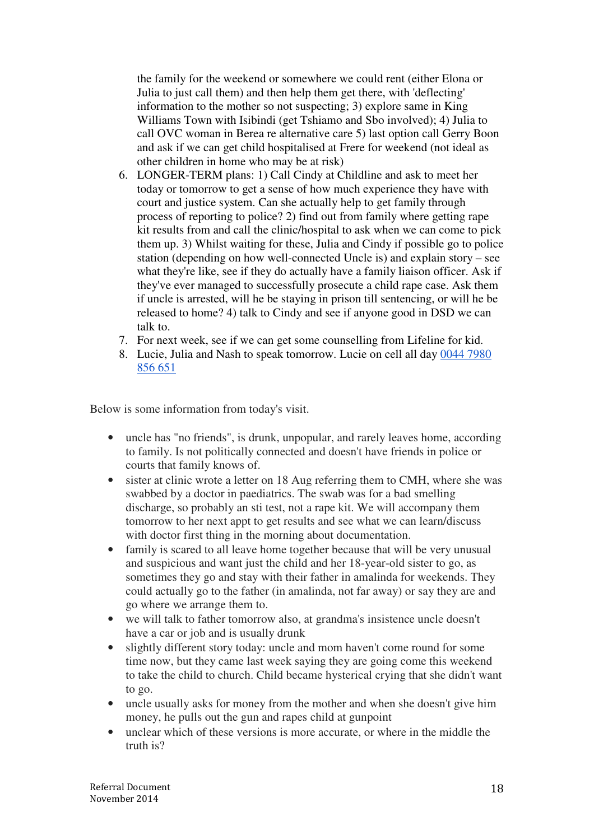the family for the weekend or somewhere we could rent (either Elona or Julia to just call them) and then help them get there, with 'deflecting' information to the mother so not suspecting; 3) explore same in King Williams Town with Isibindi (get Tshiamo and Sbo involved); 4) Julia to call OVC woman in Berea re alternative care 5) last option call Gerry Boon and ask if we can get child hospitalised at Frere for weekend (not ideal as other children in home who may be at risk)

- 6. LONGER-TERM plans: 1) Call Cindy at Childline and ask to meet her today or tomorrow to get a sense of how much experience they have with court and justice system. Can she actually help to get family through process of reporting to police? 2) find out from family where getting rape kit results from and call the clinic/hospital to ask when we can come to pick them up. 3) Whilst waiting for these, Julia and Cindy if possible go to police station (depending on how well-connected Uncle is) and explain story – see what they're like, see if they do actually have a family liaison officer. Ask if they've ever managed to successfully prosecute a child rape case. Ask them if uncle is arrested, will he be staying in prison till sentencing, or will he be released to home? 4) talk to Cindy and see if anyone good in DSD we can talk to.
- 7. For next week, see if we can get some counselling from Lifeline for kid.
- 8. Lucie, Julia and Nash to speak tomorrow. Lucie on cell all day 0044 7980 856 651

Below is some information from today's visit.

- uncle has "no friends", is drunk, unpopular, and rarely leaves home, according to family. Is not politically connected and doesn't have friends in police or courts that family knows of.
- sister at clinic wrote a letter on 18 Aug referring them to CMH, where she was swabbed by a doctor in paediatrics. The swab was for a bad smelling discharge, so probably an sti test, not a rape kit. We will accompany them tomorrow to her next appt to get results and see what we can learn/discuss with doctor first thing in the morning about documentation.
- family is scared to all leave home together because that will be very unusual and suspicious and want just the child and her 18-year-old sister to go, as sometimes they go and stay with their father in amalinda for weekends. They could actually go to the father (in amalinda, not far away) or say they are and go where we arrange them to.
- we will talk to father tomorrow also, at grandma's insistence uncle doesn't have a car or job and is usually drunk
- slightly different story today: uncle and mom haven't come round for some time now, but they came last week saying they are going come this weekend to take the child to church. Child became hysterical crying that she didn't want to go.
- uncle usually asks for money from the mother and when she doesn't give him money, he pulls out the gun and rapes child at gunpoint
- unclear which of these versions is more accurate, or where in the middle the truth is?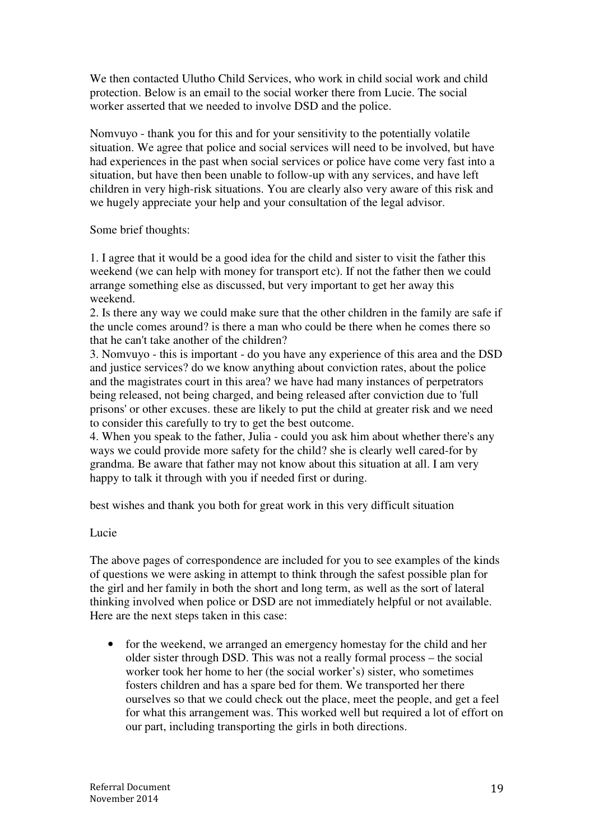We then contacted Ulutho Child Services, who work in child social work and child protection. Below is an email to the social worker there from Lucie. The social worker asserted that we needed to involve DSD and the police.

Nomvuyo - thank you for this and for your sensitivity to the potentially volatile situation. We agree that police and social services will need to be involved, but have had experiences in the past when social services or police have come very fast into a situation, but have then been unable to follow-up with any services, and have left children in very high-risk situations. You are clearly also very aware of this risk and we hugely appreciate your help and your consultation of the legal advisor.

Some brief thoughts:

1. I agree that it would be a good idea for the child and sister to visit the father this weekend (we can help with money for transport etc). If not the father then we could arrange something else as discussed, but very important to get her away this weekend.

2. Is there any way we could make sure that the other children in the family are safe if the uncle comes around? is there a man who could be there when he comes there so that he can't take another of the children?

3. Nomvuyo - this is important - do you have any experience of this area and the DSD and justice services? do we know anything about conviction rates, about the police and the magistrates court in this area? we have had many instances of perpetrators being released, not being charged, and being released after conviction due to 'full prisons' or other excuses. these are likely to put the child at greater risk and we need to consider this carefully to try to get the best outcome.

4. When you speak to the father, Julia - could you ask him about whether there's any ways we could provide more safety for the child? she is clearly well cared-for by grandma. Be aware that father may not know about this situation at all. I am very happy to talk it through with you if needed first or during.

best wishes and thank you both for great work in this very difficult situation

Lucie

The above pages of correspondence are included for you to see examples of the kinds of questions we were asking in attempt to think through the safest possible plan for the girl and her family in both the short and long term, as well as the sort of lateral thinking involved when police or DSD are not immediately helpful or not available. Here are the next steps taken in this case:

• for the weekend, we arranged an emergency homestay for the child and her older sister through DSD. This was not a really formal process – the social worker took her home to her (the social worker's) sister, who sometimes fosters children and has a spare bed for them. We transported her there ourselves so that we could check out the place, meet the people, and get a feel for what this arrangement was. This worked well but required a lot of effort on our part, including transporting the girls in both directions.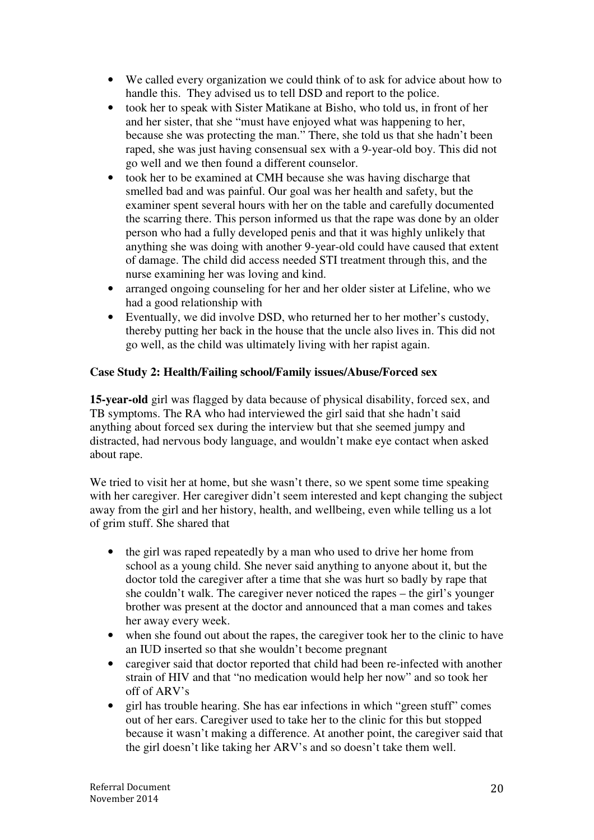- We called every organization we could think of to ask for advice about how to handle this. They advised us to tell DSD and report to the police.
- took her to speak with Sister Matikane at Bisho, who told us, in front of her and her sister, that she "must have enjoyed what was happening to her, because she was protecting the man." There, she told us that she hadn't been raped, she was just having consensual sex with a 9-year-old boy. This did not go well and we then found a different counselor.
- took her to be examined at CMH because she was having discharge that smelled bad and was painful. Our goal was her health and safety, but the examiner spent several hours with her on the table and carefully documented the scarring there. This person informed us that the rape was done by an older person who had a fully developed penis and that it was highly unlikely that anything she was doing with another 9-year-old could have caused that extent of damage. The child did access needed STI treatment through this, and the nurse examining her was loving and kind.
- arranged ongoing counseling for her and her older sister at Lifeline, who we had a good relationship with
- Eventually, we did involve DSD, who returned her to her mother's custody, thereby putting her back in the house that the uncle also lives in. This did not go well, as the child was ultimately living with her rapist again.

# **Case Study 2: Health/Failing school/Family issues/Abuse/Forced sex**

**15-year-old** girl was flagged by data because of physical disability, forced sex, and TB symptoms. The RA who had interviewed the girl said that she hadn't said anything about forced sex during the interview but that she seemed jumpy and distracted, had nervous body language, and wouldn't make eye contact when asked about rape.

We tried to visit her at home, but she wasn't there, so we spent some time speaking with her caregiver. Her caregiver didn't seem interested and kept changing the subject away from the girl and her history, health, and wellbeing, even while telling us a lot of grim stuff. She shared that

- the girl was raped repeatedly by a man who used to drive her home from school as a young child. She never said anything to anyone about it, but the doctor told the caregiver after a time that she was hurt so badly by rape that she couldn't walk. The caregiver never noticed the rapes – the girl's younger brother was present at the doctor and announced that a man comes and takes her away every week.
- when she found out about the rapes, the caregiver took her to the clinic to have an IUD inserted so that she wouldn't become pregnant
- caregiver said that doctor reported that child had been re-infected with another strain of HIV and that "no medication would help her now" and so took her off of ARV's
- girl has trouble hearing. She has ear infections in which "green stuff" comes out of her ears. Caregiver used to take her to the clinic for this but stopped because it wasn't making a difference. At another point, the caregiver said that the girl doesn't like taking her ARV's and so doesn't take them well.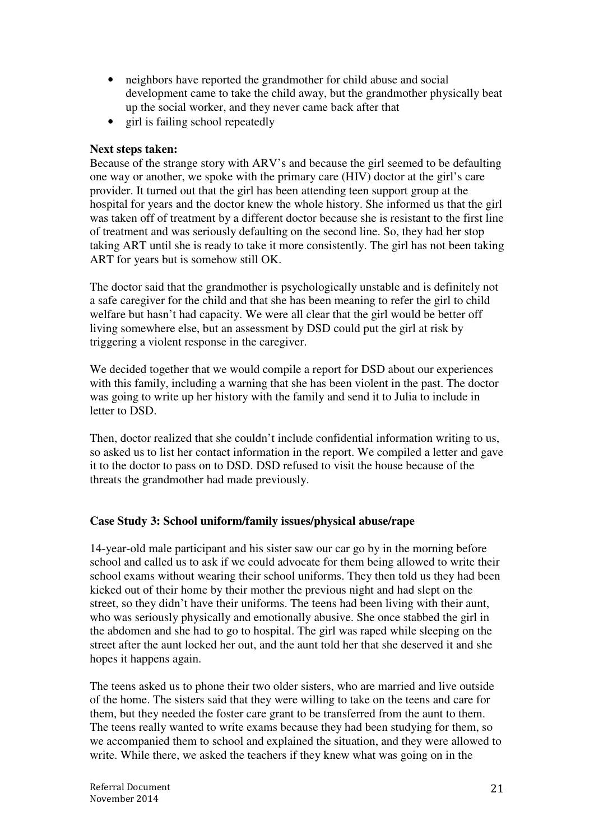- neighbors have reported the grandmother for child abuse and social development came to take the child away, but the grandmother physically beat up the social worker, and they never came back after that
- girl is failing school repeatedly

### **Next steps taken:**

Because of the strange story with ARV's and because the girl seemed to be defaulting one way or another, we spoke with the primary care (HIV) doctor at the girl's care provider. It turned out that the girl has been attending teen support group at the hospital for years and the doctor knew the whole history. She informed us that the girl was taken off of treatment by a different doctor because she is resistant to the first line of treatment and was seriously defaulting on the second line. So, they had her stop taking ART until she is ready to take it more consistently. The girl has not been taking ART for years but is somehow still OK.

The doctor said that the grandmother is psychologically unstable and is definitely not a safe caregiver for the child and that she has been meaning to refer the girl to child welfare but hasn't had capacity. We were all clear that the girl would be better off living somewhere else, but an assessment by DSD could put the girl at risk by triggering a violent response in the caregiver.

We decided together that we would compile a report for DSD about our experiences with this family, including a warning that she has been violent in the past. The doctor was going to write up her history with the family and send it to Julia to include in letter to DSD.

Then, doctor realized that she couldn't include confidential information writing to us, so asked us to list her contact information in the report. We compiled a letter and gave it to the doctor to pass on to DSD. DSD refused to visit the house because of the threats the grandmother had made previously.

### **Case Study 3: School uniform/family issues/physical abuse/rape**

14-year-old male participant and his sister saw our car go by in the morning before school and called us to ask if we could advocate for them being allowed to write their school exams without wearing their school uniforms. They then told us they had been kicked out of their home by their mother the previous night and had slept on the street, so they didn't have their uniforms. The teens had been living with their aunt, who was seriously physically and emotionally abusive. She once stabbed the girl in the abdomen and she had to go to hospital. The girl was raped while sleeping on the street after the aunt locked her out, and the aunt told her that she deserved it and she hopes it happens again.

The teens asked us to phone their two older sisters, who are married and live outside of the home. The sisters said that they were willing to take on the teens and care for them, but they needed the foster care grant to be transferred from the aunt to them. The teens really wanted to write exams because they had been studying for them, so we accompanied them to school and explained the situation, and they were allowed to write. While there, we asked the teachers if they knew what was going on in the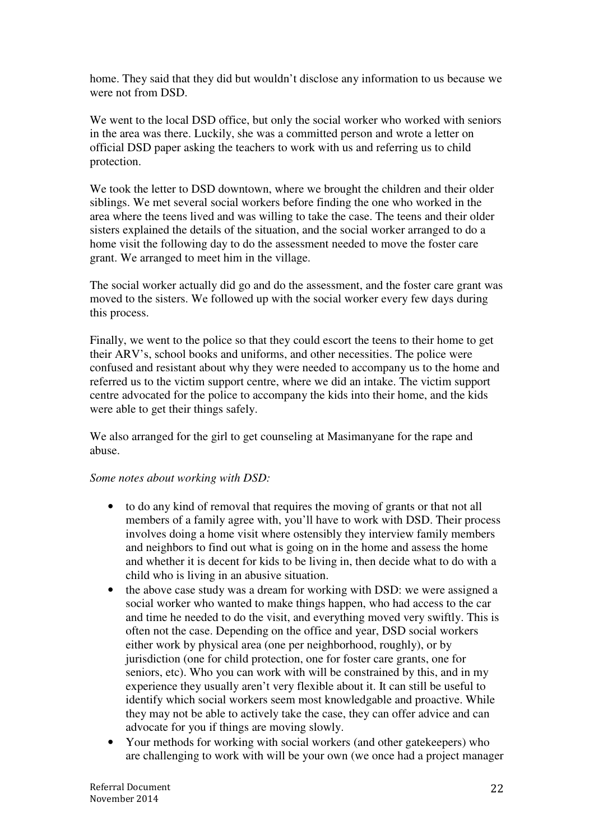home. They said that they did but wouldn't disclose any information to us because we were not from DSD.

We went to the local DSD office, but only the social worker who worked with seniors in the area was there. Luckily, she was a committed person and wrote a letter on official DSD paper asking the teachers to work with us and referring us to child protection.

We took the letter to DSD downtown, where we brought the children and their older siblings. We met several social workers before finding the one who worked in the area where the teens lived and was willing to take the case. The teens and their older sisters explained the details of the situation, and the social worker arranged to do a home visit the following day to do the assessment needed to move the foster care grant. We arranged to meet him in the village.

The social worker actually did go and do the assessment, and the foster care grant was moved to the sisters. We followed up with the social worker every few days during this process.

Finally, we went to the police so that they could escort the teens to their home to get their ARV's, school books and uniforms, and other necessities. The police were confused and resistant about why they were needed to accompany us to the home and referred us to the victim support centre, where we did an intake. The victim support centre advocated for the police to accompany the kids into their home, and the kids were able to get their things safely.

We also arranged for the girl to get counseling at Masimanyane for the rape and abuse.

### *Some notes about working with DSD:*

- to do any kind of removal that requires the moving of grants or that not all members of a family agree with, you'll have to work with DSD. Their process involves doing a home visit where ostensibly they interview family members and neighbors to find out what is going on in the home and assess the home and whether it is decent for kids to be living in, then decide what to do with a child who is living in an abusive situation.
- the above case study was a dream for working with DSD: we were assigned a social worker who wanted to make things happen, who had access to the car and time he needed to do the visit, and everything moved very swiftly. This is often not the case. Depending on the office and year, DSD social workers either work by physical area (one per neighborhood, roughly), or by jurisdiction (one for child protection, one for foster care grants, one for seniors, etc). Who you can work with will be constrained by this, and in my experience they usually aren't very flexible about it. It can still be useful to identify which social workers seem most knowledgable and proactive. While they may not be able to actively take the case, they can offer advice and can advocate for you if things are moving slowly.
- Your methods for working with social workers (and other gatekeepers) who are challenging to work with will be your own (we once had a project manager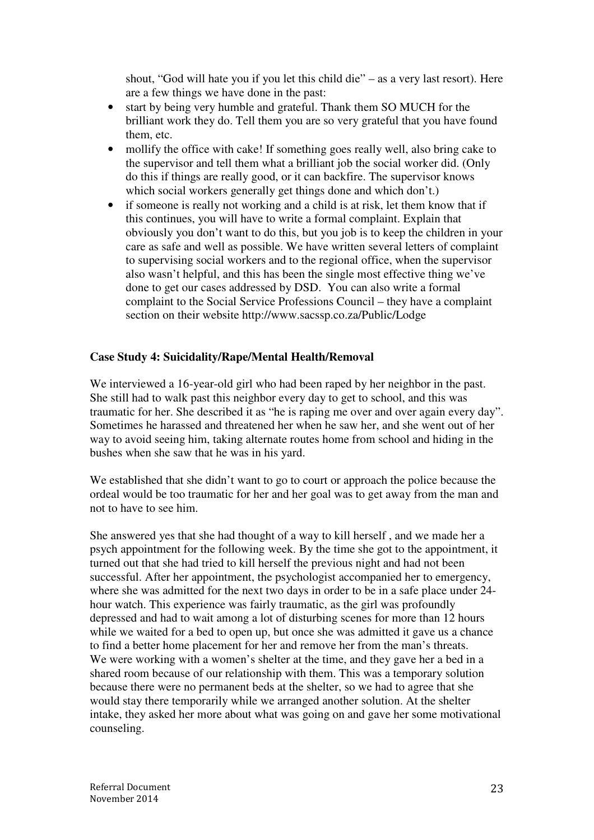shout, "God will hate you if you let this child die" – as a very last resort). Here are a few things we have done in the past:

- start by being very humble and grateful. Thank them SO MUCH for the brilliant work they do. Tell them you are so very grateful that you have found them, etc.
- mollify the office with cake! If something goes really well, also bring cake to the supervisor and tell them what a brilliant job the social worker did. (Only do this if things are really good, or it can backfire. The supervisor knows which social workers generally get things done and which don't.)
- if someone is really not working and a child is at risk, let them know that if this continues, you will have to write a formal complaint. Explain that obviously you don't want to do this, but you job is to keep the children in your care as safe and well as possible. We have written several letters of complaint to supervising social workers and to the regional office, when the supervisor also wasn't helpful, and this has been the single most effective thing we've done to get our cases addressed by DSD. You can also write a formal complaint to the Social Service Professions Council – they have a complaint section on their website http://www.sacssp.co.za/Public/Lodge

### **Case Study 4: Suicidality/Rape/Mental Health/Removal**

We interviewed a 16-year-old girl who had been raped by her neighbor in the past. She still had to walk past this neighbor every day to get to school, and this was traumatic for her. She described it as "he is raping me over and over again every day". Sometimes he harassed and threatened her when he saw her, and she went out of her way to avoid seeing him, taking alternate routes home from school and hiding in the bushes when she saw that he was in his yard.

We established that she didn't want to go to court or approach the police because the ordeal would be too traumatic for her and her goal was to get away from the man and not to have to see him.

She answered yes that she had thought of a way to kill herself , and we made her a psych appointment for the following week. By the time she got to the appointment, it turned out that she had tried to kill herself the previous night and had not been successful. After her appointment, the psychologist accompanied her to emergency, where she was admitted for the next two days in order to be in a safe place under 24 hour watch. This experience was fairly traumatic, as the girl was profoundly depressed and had to wait among a lot of disturbing scenes for more than 12 hours while we waited for a bed to open up, but once she was admitted it gave us a chance to find a better home placement for her and remove her from the man's threats. We were working with a women's shelter at the time, and they gave her a bed in a shared room because of our relationship with them. This was a temporary solution because there were no permanent beds at the shelter, so we had to agree that she would stay there temporarily while we arranged another solution. At the shelter intake, they asked her more about what was going on and gave her some motivational counseling.